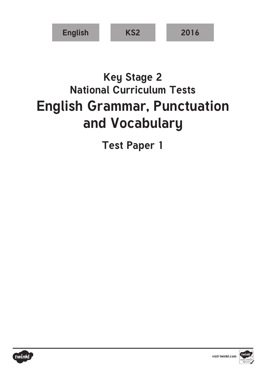

## **Key Stage 2 National Curriculum Tests English Grammar, Punctuation and Vocabulary**

**Test Paper 1**



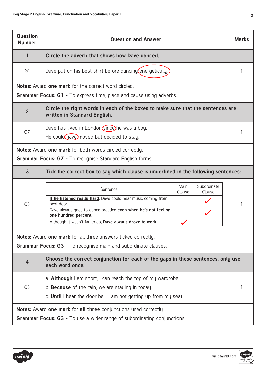| Question<br><b>Number</b>                                                                                                                          | <b>Question and Answer</b>                                                                                      |                |                       | <b>Marks</b> |
|----------------------------------------------------------------------------------------------------------------------------------------------------|-----------------------------------------------------------------------------------------------------------------|----------------|-----------------------|--------------|
| $\mathbf{1}$                                                                                                                                       | Circle the adverb that shows how Dave danced.                                                                   |                |                       |              |
| G1                                                                                                                                                 | Dave put on his best shirt before dancing (energetically.)                                                      |                |                       | 1            |
|                                                                                                                                                    | Notes: Award one mark for the correct word circled.                                                             |                |                       |              |
|                                                                                                                                                    | Grammar Focus: G1 - To express time, place and cause using adverbs.                                             |                |                       |              |
| $\overline{2}$                                                                                                                                     | Circle the right words in each of the boxes to make sure that the sentences are<br>written in Standard English. |                |                       |              |
| G7                                                                                                                                                 | Dave has lived in London since he was a boy.                                                                    |                |                       | 1            |
|                                                                                                                                                    | He could have moved but decided to stay.                                                                        |                |                       |              |
|                                                                                                                                                    | <b>Notes:</b> Award one mark for both words circled correctly.                                                  |                |                       |              |
|                                                                                                                                                    | <b>Grammar Focus: G7</b> - To recognise Standard English forms.                                                 |                |                       |              |
| $\overline{3}$                                                                                                                                     | Tick the correct box to say which clause is underlined in the following sentences:                              |                |                       |              |
|                                                                                                                                                    | Sentence                                                                                                        | Main<br>Clause | Subordinate<br>Clause |              |
| G <sub>3</sub>                                                                                                                                     | If he listened really hard, Dave could hear music coming from<br>next door.                                     |                |                       |              |
|                                                                                                                                                    | Dave always goes to dance practice even when he's not feeling<br>one hundred percent.                           |                |                       |              |
|                                                                                                                                                    | Although it wasn't far to go, Dave always drove to work.                                                        |                |                       |              |
|                                                                                                                                                    | Notes: Award one mark for all three answers ticked correctly.                                                   |                |                       |              |
|                                                                                                                                                    | <b>Grammar Focus: G3</b> - To recognise main and subordinate clauses.                                           |                |                       |              |
| $\overline{4}$                                                                                                                                     | Choose the correct conjunction for each of the gaps in these sentences, only use<br>each word once.             |                |                       |              |
|                                                                                                                                                    | a. <b>Although</b> I am short, I can reach the top of my wardrobe.                                              |                |                       |              |
| G <sub>3</sub>                                                                                                                                     | b. Because of the rain, we are staying in today.                                                                |                |                       |              |
|                                                                                                                                                    | c. Until I hear the door bell, I am not getting up from my seat.                                                |                |                       |              |
| Notes: Award one mark for all three conjunctions used correctly.<br><b>Grammar Focus: G3</b> - To use a wider range of subordinating conjunctions. |                                                                                                                 |                |                       |              |



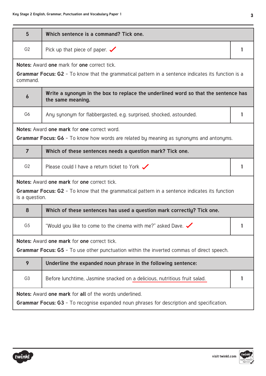| $5\phantom{1}$                                         | Which sentence is a command? Tick one.                                                                  |   |  |
|--------------------------------------------------------|---------------------------------------------------------------------------------------------------------|---|--|
| G <sub>2</sub>                                         | Pick up that piece of paper. $\checkmark$                                                               | 1 |  |
|                                                        | <b>Notes:</b> Award one mark for one correct tick.                                                      |   |  |
| command.                                               | Grammar Focus: G2 - To know that the grammatical pattern in a sentence indicates its function is a      |   |  |
| $\boldsymbol{6}$                                       | Write a synonym in the box to replace the underlined word so that the sentence has<br>the same meaning. |   |  |
| G <sub>6</sub>                                         | Any synonym for flabbergasted, e.g. surprised, shocked, astounded.                                      |   |  |
|                                                        | Notes: Award one mark for one correct word.                                                             |   |  |
|                                                        | <b>Grammar Focus: G6</b> - To know how words are related by meaning as synonyms and antonyms.           |   |  |
| $\overline{7}$                                         | Which of these sentences needs a question mark? Tick one.                                               |   |  |
| G <sub>2</sub>                                         | Please could I have a return ticket to York $\checkmark$                                                | 1 |  |
|                                                        | <b>Notes:</b> Award one mark for one correct tick.                                                      |   |  |
| is a question.                                         | Grammar Focus: G2 - To know that the grammatical pattern in a sentence indicates its function           |   |  |
| 8                                                      | Which of these sentences has used a question mark correctly? Tick one.                                  |   |  |
| G <sub>5</sub>                                         | "Would you like to come to the cinema with me?" asked Dave. $\checkmark$                                |   |  |
|                                                        | Notes: Award one mark for one correct tick.                                                             |   |  |
|                                                        | <b>Grammar Focus: G5</b> - To use other punctuation within the inverted commas of direct speech.        |   |  |
| 9                                                      | Underline the expanded noun phrase in the following sentence:                                           |   |  |
| G <sub>3</sub>                                         | Before lunchtime, Jasmine snacked on a delicious, nutritious fruit salad.                               |   |  |
| Notes: Award one mark for all of the words underlined. |                                                                                                         |   |  |
|                                                        | <b>Grammar Focus: G3</b> - To recognise expanded noun phrases for description and specification.        |   |  |



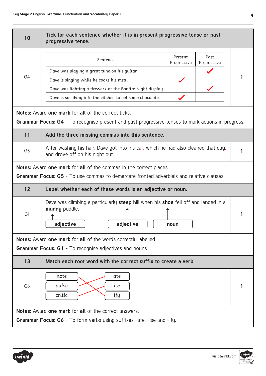| 10             | Tick for each sentence whether it is in present progressive tense or past<br>progressive tense.                                                                                                                             |                        |                     |  |
|----------------|-----------------------------------------------------------------------------------------------------------------------------------------------------------------------------------------------------------------------------|------------------------|---------------------|--|
| G <sub>4</sub> | Sentence<br>Dave was playing a great tune on his guitar.<br>Dave is singing while he cooks his meal.<br>Dave was lighting a firework at the Bonfire Night display.                                                          | Present<br>Progressive | Past<br>Progressive |  |
|                | Dave is sneaking into the kitchen to get some chocolate.<br>Notes: Award one mark for all of the correct ticks.<br><b>Grammar Focus: G4</b> - To recognise present and past progressive tenses to mark actions in progress. |                        |                     |  |
| 11             | Add the three missing commas into this sentence.                                                                                                                                                                            |                        |                     |  |
| G <sub>5</sub> | After washing his hair, Dave got into his car, which he had also cleaned that day,<br>and drove off on his night out.                                                                                                       |                        |                     |  |
|                | <b>Notes:</b> Award one mark for all of the commas in the correct places.<br><b>Grammar Focus: G5</b> - To use commas to demarcate fronted adverbials and relative clauses.                                                 |                        |                     |  |
| 12             | Label whether each of these words is an adjective or noun.                                                                                                                                                                  |                        |                     |  |
| G1             | Dave was climbing a particularly steep hill when his shoe fell off and landed in a<br>muddy puddle.<br>adjective<br>adjective                                                                                               | noun                   |                     |  |
|                | Notes: Award one mark for all of the words correctly labelled.<br>Grammar Focus: G1 - To recognise adjectives and nouns.                                                                                                    |                        |                     |  |
| 13             | Match each root word with the correct suffix to create a verb:                                                                                                                                                              |                        |                     |  |
| G <sub>6</sub> | note<br>ate<br>pulse<br>ise<br>critic<br>ify                                                                                                                                                                                |                        |                     |  |
|                | Notes: Award one mark for all of the correct answers.<br><b>Grammar Focus: G6</b> - To form verbs using suffixes -ate, -ise and -ify.                                                                                       |                        |                     |  |

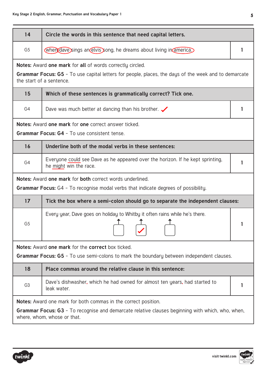| 14             | Circle the words in this sentence that need capital letters.                                                                                                                                                    |   |
|----------------|-----------------------------------------------------------------------------------------------------------------------------------------------------------------------------------------------------------------|---|
| G <sub>5</sub> | when dave sings an elvis song, he dreams about living in america.                                                                                                                                               | 1 |
|                | <b>Notes:</b> Award one mark for all of words correctly circled.<br>Grammar Focus: G5 - To use capital letters for people, places, the days of the week and to demarcate<br>the start of a sentence.            |   |
| 15             | Which of these sentences is grammatically correct? Tick one.                                                                                                                                                    |   |
| G4             | Dave was much better at dancing than his brother. $\swarrow$                                                                                                                                                    | 1 |
|                | <b>Notes:</b> Award one mark for one correct answer ticked.                                                                                                                                                     |   |
|                | <b>Grammar Focus: G4 - To use consistent tense.</b>                                                                                                                                                             |   |
| 16             | Underline both of the modal verbs in these sentences:                                                                                                                                                           |   |
| G4             | Everyone could see Dave as he appeared over the horizon. If he kept sprinting,<br>he might win the race.                                                                                                        | 1 |
|                | Notes: Award one mark for both correct words underlined.                                                                                                                                                        |   |
|                | <b>Grammar Focus:</b> G4 - To recognise modal verbs that indicate degrees of possibility.                                                                                                                       |   |
| 17             | Tick the box where a semi-colon should go to separate the independent clauses:                                                                                                                                  |   |
| G <sub>5</sub> | Every year, Dave goes on holiday to Whitby it often rains while he's there.                                                                                                                                     |   |
|                | Notes: Award one mark for the correct box ticked.                                                                                                                                                               |   |
|                | Grammar Focus: G5 - To use semi-colons to mark the boundary between independent clauses.                                                                                                                        |   |
| 18             | Place commas around the relative clause in this sentence:                                                                                                                                                       |   |
| G <sub>3</sub> | Dave's dishwasher, which he had owned for almost ten years, had started to<br>leak water.                                                                                                                       |   |
|                | <b>Notes:</b> Award one mark for both commas in the correct position.<br><b>Grammar Focus: G3</b> - To recognise and demarcate relative clauses beginning with which, who, when,<br>where, whom, whose or that. |   |



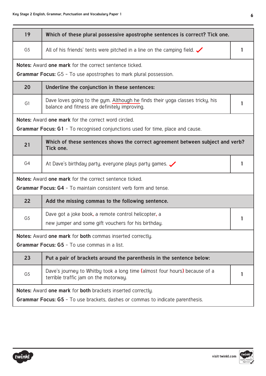| 19             | Which of these plural possessive apostrophe sentences is correct? Tick one.                                                                                               |   |
|----------------|---------------------------------------------------------------------------------------------------------------------------------------------------------------------------|---|
| G <sub>5</sub> | All of his friends' tents were pitched in a line on the camping field. $\swarrow$                                                                                         |   |
|                | <b>Notes:</b> Award one mark for the correct sentence ticked.                                                                                                             |   |
|                | <b>Grammar Focus:</b> G5 - To use apostrophes to mark plural possession.                                                                                                  |   |
| 20             | Underline the conjunction in these sentences:                                                                                                                             |   |
| G1             | Dave loves going to the gym. Although he finds their yoga classes tricky, his<br>balance and fitness are definitely improving.                                            |   |
|                | <b>Notes:</b> Award one mark for the correct word circled.                                                                                                                |   |
|                | <b>Grammar Focus: G1</b> - To recognised conjunctions used for time, place and cause.                                                                                     |   |
| 21             | Which of these sentences shows the correct agreement between subject and verb?<br>Tick one.                                                                               |   |
| G4             | At Dave's birthday party, everyone plays party games.                                                                                                                     | 1 |
|                | Notes: Award one mark for the correct sentence ticked.                                                                                                                    |   |
|                | <b>Grammar Focus: G4</b> - To maintain consistent verb form and tense.                                                                                                    |   |
| 22             | Add the missing commas to the following sentence.                                                                                                                         |   |
| G <sub>5</sub> | Dave got a joke book, a remote control helicopter, a                                                                                                                      |   |
|                | new jumper and some gift vouchers for his birthday.                                                                                                                       |   |
|                | Notes: Award one mark for both commas inserted correctly.                                                                                                                 |   |
|                | <b>Grammar Focus: G5</b> - To use commas in a list.                                                                                                                       |   |
| 23             | Put a pair of brackets around the parenthesis in the sentence below:                                                                                                      |   |
| G <sub>5</sub> | Dave's journey to Whitby took a long time (almost four hours) because of a<br>terrible traffic jam on the motorway.                                                       |   |
|                | <b>Notes:</b> Award <b>one mark</b> for <b>both</b> brackets inserted correctly.<br><b>Grammar Focus: G5</b> - To use brackets, dashes or commas to indicate parenthesis. |   |



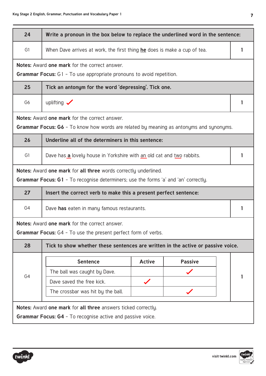| × |
|---|
|   |
|   |
|   |

| 24             | Write a pronoun in the box below to replace the underlined word in the sentence:                                                                                     |               |                |   |
|----------------|----------------------------------------------------------------------------------------------------------------------------------------------------------------------|---------------|----------------|---|
| G1             | When Dave arrives at work, the first thing he does is make a cup of tea.                                                                                             |               |                | 1 |
|                | <b>Notes: Award one mark for the correct answer.</b>                                                                                                                 |               |                |   |
|                | <b>Grammar Focus:</b> G1 - To use appropriate pronouns to avoid repetition.                                                                                          |               |                |   |
| 25             | Tick an antonym for the word 'depressing'. Tick one.                                                                                                                 |               |                |   |
| G <sub>6</sub> | uplifting $\checkmark$                                                                                                                                               |               |                | 1 |
|                | <b>Notes: Award one mark for the correct answer.</b>                                                                                                                 |               |                |   |
|                | <b>Grammar Focus: G6</b> - To know how words are related by meaning as antonyms and synonyms.                                                                        |               |                |   |
| 26             | Underline all of the determiners in this sentence:                                                                                                                   |               |                |   |
| G1             | Dave has a lovely house in Yorkshire with an old cat and two rabbits.                                                                                                |               |                | 1 |
|                | <b>Notes:</b> Award one mark for all three words correctly underlined.<br><b>Grammar Focus: G1</b> - To recognise determiners; use the forms 'a' and 'an' correctly. |               |                |   |
| 27             | Insert the correct verb to make this a present perfect sentence:                                                                                                     |               |                |   |
| G4             | Dave has eaten in many famous restaurants.                                                                                                                           |               |                |   |
|                | <b>Notes:</b> Award one mark for the correct answer.                                                                                                                 |               |                |   |
|                | Grammar Focus: G4 - To use the present perfect form of verbs.                                                                                                        |               |                |   |
| 28             | Tick to show whether these sentences are written in the active or passive voice.                                                                                     |               |                |   |
|                | <b>Sentence</b>                                                                                                                                                      | <b>Active</b> | <b>Passive</b> |   |
| G4             | The ball was caught by Dave.                                                                                                                                         |               |                |   |
|                | Dave saved the free kick.                                                                                                                                            |               |                |   |
|                | The crossbar was hit by the ball.                                                                                                                                    |               |                |   |
|                | <b>Notes:</b> Award one mark for all three answers ticked correctly.<br><b>Grammar Focus: G4</b> - To recognise active and passive voice.                            |               |                |   |



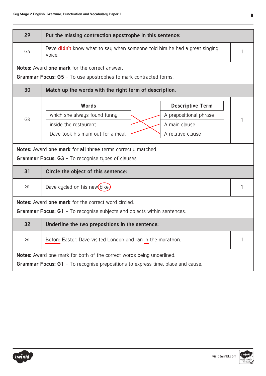| 29                                                                                                                                                       | Put the missing contraction apostrophe in this sentence:                                                                                                                                                                                                      |  |  |
|----------------------------------------------------------------------------------------------------------------------------------------------------------|---------------------------------------------------------------------------------------------------------------------------------------------------------------------------------------------------------------------------------------------------------------|--|--|
| G <sub>5</sub>                                                                                                                                           | Dave <b>didn't</b> know what to say when someone told him he had a great singing<br>voice.                                                                                                                                                                    |  |  |
|                                                                                                                                                          | <b>Notes: Award one mark for the correct answer.</b><br><b>Grammar Focus: G5</b> - To use apostrophes to mark contracted forms.                                                                                                                               |  |  |
| 30                                                                                                                                                       | Match up the words with the right term of description.                                                                                                                                                                                                        |  |  |
| G <sub>3</sub>                                                                                                                                           | Words<br><b>Descriptive Term</b><br>which she always found funny<br>A prepositional phrase<br>inside the restaurant<br>A main clause<br>Dave took his mum out for a meal<br>A relative clause<br>Notes: Award one mark for all three terms correctly matched. |  |  |
|                                                                                                                                                          | <b>Grammar Focus: G3</b> - To recognise types of clauses.                                                                                                                                                                                                     |  |  |
| 31                                                                                                                                                       | Circle the object of this sentence:                                                                                                                                                                                                                           |  |  |
| G1                                                                                                                                                       | Dave cycled on his new(bike.)                                                                                                                                                                                                                                 |  |  |
|                                                                                                                                                          | Notes: Award one mark for the correct word circled.<br><b>Grammar Focus: G1</b> - To recognise subjects and objects within sentences.                                                                                                                         |  |  |
| 32                                                                                                                                                       | Underline the two prepositions in the sentence:                                                                                                                                                                                                               |  |  |
| G1                                                                                                                                                       | Before Easter, Dave visited London and ran in the marathon.                                                                                                                                                                                                   |  |  |
| Notes: Award one mark for both of the correct words being underlined.<br>Grammar Focus: G1 - To recognise prepositions to express time, place and cause. |                                                                                                                                                                                                                                                               |  |  |



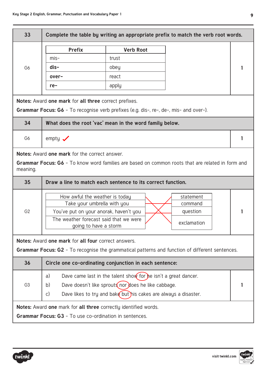| 33             |                                                                                              |                                                                           | Complete the table by writing an appropriate prefix to match the verb root words.                       |   |
|----------------|----------------------------------------------------------------------------------------------|---------------------------------------------------------------------------|---------------------------------------------------------------------------------------------------------|---|
|                | <b>Prefix</b>                                                                                | <b>Verb Root</b>                                                          |                                                                                                         |   |
|                | $mis-$                                                                                       | trust                                                                     |                                                                                                         |   |
| G <sub>6</sub> | $dis-$                                                                                       | obey                                                                      |                                                                                                         |   |
|                | over-                                                                                        | react                                                                     |                                                                                                         |   |
|                | $re-$                                                                                        | apply                                                                     |                                                                                                         |   |
|                | Notes: Award one mark for all three correct prefixes.                                        |                                                                           |                                                                                                         |   |
|                | <b>Grammar Focus: G6</b> - To recognise verb prefixes (e.g. dis-, re-, de-, mis- and over-). |                                                                           |                                                                                                         |   |
| 34             | What does the root 'vac' mean in the word family below.                                      |                                                                           |                                                                                                         |   |
| G <sub>6</sub> | empty $\sqrt{}$                                                                              |                                                                           |                                                                                                         | 1 |
|                | <b>Notes: Award one mark for the correct answer.</b>                                         |                                                                           |                                                                                                         |   |
| meaning.       |                                                                                              |                                                                           | <b>Grammar Focus: G6</b> - To know word families are based on common roots that are related in form and |   |
| 35             | Draw a line to match each sentence to its correct function.                                  |                                                                           |                                                                                                         |   |
|                | How awful the weather is today                                                               |                                                                           | statement                                                                                               |   |
| G <sub>2</sub> | Take your umbrella with you<br>You've put on your anorak, haven't you                        |                                                                           | command<br>question                                                                                     | 1 |
|                | The weather forecast said that we were                                                       |                                                                           |                                                                                                         |   |
|                | going to have a storm                                                                        |                                                                           | exclamation                                                                                             |   |
|                | Notes: Award one mark for all four correct answers.                                          |                                                                           |                                                                                                         |   |
|                |                                                                                              |                                                                           | <b>Grammar Focus: G2</b> - To recognise the grammatical patterns and function of different sentences.   |   |
| 36             | Circle one co-ordinating conjunction in each sentence:                                       |                                                                           |                                                                                                         |   |
|                | a)                                                                                           | Dave came last in the talent show for the isn't a great dancer.           |                                                                                                         |   |
| G <sub>3</sub> | b)                                                                                           | Dave doesn't like sprouts nor does he like cabbage.                       |                                                                                                         |   |
|                | $\mathsf{C}$                                                                                 | Dave likes to try and bak $\epsilon$ but his cakes are always a disaster. |                                                                                                         |   |
|                | Notes: Award one mark for all three correctly identified words.                              |                                                                           |                                                                                                         |   |
|                | <b>Grammar Focus: G3</b> - To use co-ordination in sentences.                                |                                                                           |                                                                                                         |   |

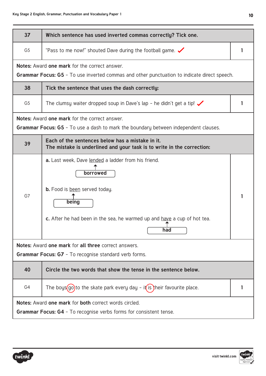| 37             | Which sentence has used inverted commas correctly? Tick one.                                                                                                                                 |  |
|----------------|----------------------------------------------------------------------------------------------------------------------------------------------------------------------------------------------|--|
| G <sub>5</sub> | "Pass to me now!" shouted Dave during the football game. $\checkmark$                                                                                                                        |  |
|                | <b>Notes: Award one mark for the correct answer.</b><br><b>Grammar Focus: G5</b> - To use inverted commas and other punctuation to indicate direct speech.                                   |  |
| 38             | Tick the sentence that uses the dash correctly:                                                                                                                                              |  |
| G <sub>5</sub> | The clumsy waiter dropped soup in Dave's lap - he didn't get a tip! $\checkmark$                                                                                                             |  |
|                | <b>Notes: Award one mark for the correct answer.</b><br><b>Grammar Focus: G5</b> - To use a dash to mark the boundary between independent clauses.                                           |  |
| 39             | Each of the sentences below has a mistake in it.<br>The mistake is underlined and your task is to write in the correction:                                                                   |  |
| G7             | a. Last week, Dave lended a ladder from his friend.<br>borrowed<br>b. Food is been served today.<br>being<br>c. After he had been in the sea, he warmed up and have a cup of hot tea.<br>had |  |
|                | Notes: Award one mark for all three correct answers.                                                                                                                                         |  |
|                | <b>Grammar Focus: G7</b> - To recognise standard verb forms.                                                                                                                                 |  |
| 40             | Circle the two words that show the tense in the sentence below.                                                                                                                              |  |
| G4             | The boys $(go)$ to the skate park every day - it is their favourite place.                                                                                                                   |  |
|                | <b>Notes:</b> Award one mark for both correct words circled.<br><b>Grammar Focus: G4 - To recognise verbs forms for consistent tense.</b>                                                    |  |



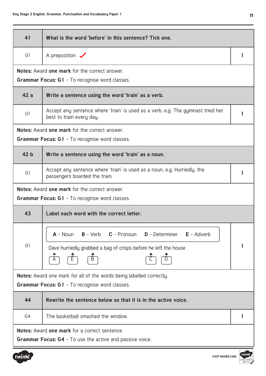┬

л

| 41              | What is the word 'before' in this sentence? Tick one.                                                                                                             |   |
|-----------------|-------------------------------------------------------------------------------------------------------------------------------------------------------------------|---|
| G1              | A preposition $\sqrt{}$                                                                                                                                           | 1 |
|                 | <b>Notes: Award one mark for the correct answer.</b><br><b>Grammar Focus: G1 - To recognise word classes.</b>                                                     |   |
| 42a             | Write a sentence using the word 'train' as a verb.                                                                                                                |   |
| G <sub>1</sub>  | Accept any sentence where 'train' is used as a verb, e.g. The gymnast tried her<br>best to train every day.                                                       | 1 |
|                 | <b>Notes: Award one mark for the correct answer.</b>                                                                                                              |   |
|                 | <b>Grammar Focus: G1 - To recognise word classes.</b>                                                                                                             |   |
| 42 <sub>b</sub> | Write a sentence using the word 'train' as a noun.                                                                                                                |   |
| G <sub>1</sub>  | Accept any sentence where 'train' is used as a noun, e.g. Hurriedly, the<br>passengers boarded the train.                                                         | 1 |
|                 | <b>Notes: Award one mark for the correct answer.</b>                                                                                                              |   |
|                 | <b>Grammar Focus: G1 - To recognise word classes.</b>                                                                                                             |   |
| 43              | Label each word with the correct letter.                                                                                                                          |   |
| G1              | $A - Noun$<br><b>B</b> - Verb <b>C</b> - Pronoun<br><b>D</b> - Determiner<br>$E -$ Adverb<br>Dave hurriedly grabbed a bag of crisps before he left the house<br>곰 | 1 |
|                 | <b>Notes:</b> Award one mark for all of the words being labelled correctly.                                                                                       |   |
|                 | <b>Grammar Focus: G1 - To recognise word classes.</b>                                                                                                             |   |
| 44              | Rewrite the sentence below so that it is in the active voice.                                                                                                     |   |
| G4              | The basketball smashed the window.                                                                                                                                |   |
|                 | Notes: Award one mark for a correct sentence.<br><b>Grammar Focus: G4</b> - To use the active and passive voice.                                                  |   |

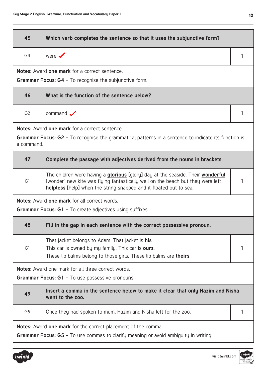| 45             | Which verb completes the sentence so that it uses the subjunctive form?                                                                                                                                                                                |   |
|----------------|--------------------------------------------------------------------------------------------------------------------------------------------------------------------------------------------------------------------------------------------------------|---|
| G <sub>4</sub> | were $\checkmark$                                                                                                                                                                                                                                      | 1 |
|                | <b>Notes:</b> Award one mark for a correct sentence.                                                                                                                                                                                                   |   |
|                | <b>Grammar Focus: G4</b> - To recognise the subjunctive form.                                                                                                                                                                                          |   |
| 46             | What is the function of the sentence below?                                                                                                                                                                                                            |   |
| G <sub>2</sub> | command $\sqrt{}$                                                                                                                                                                                                                                      | 1 |
| a command.     | <b>Notes: Award one mark for a correct sentence.</b><br><b>Grammar Focus: G2</b> - To recognise the grammatical patterns in a sentence to indicate its function is                                                                                     |   |
| 47             | Complete the passage with adjectives derived from the nouns in brackets.                                                                                                                                                                               |   |
| G1             | The children were having a <b>glorious</b> [glory] day at the seaside. Their <b>wonderful</b><br>[wonder] new kite was flying fantastically well on the beach but they were left<br>helpless [help] when the string snapped and it floated out to sea. |   |
|                | Notes: Award one mark for all correct words.                                                                                                                                                                                                           |   |
|                | <b>Grammar Focus: G1</b> - To create adjectives using suffixes.                                                                                                                                                                                        |   |
| 48             | Fill in the gap in each sentence with the correct possessive pronoun.                                                                                                                                                                                  |   |
| G1             | That jacket belongs to Adam. That jacket is his.<br>This car is owned by my family. This car is ours.<br>These lip balms belong to those girls. These lip balms are theirs.                                                                            |   |
|                | Notes: Award one mark for all three correct words.                                                                                                                                                                                                     |   |
|                | <b>Grammar Focus: G1 - To use possessive pronouns.</b>                                                                                                                                                                                                 |   |
| 49             | Insert a comma in the sentence below to make it clear that only Hazim and Nisha<br>went to the zoo.                                                                                                                                                    |   |
| G <sub>5</sub> | Once they had spoken to mum, Hazim and Nisha left for the zoo.                                                                                                                                                                                         |   |
|                | <b>Notes:</b> Award one mark for the correct placement of the comma                                                                                                                                                                                    |   |
|                | <b>Grammar Focus: G5</b> - To use commas to clarify meaning or avoid ambiguity in writing.                                                                                                                                                             |   |